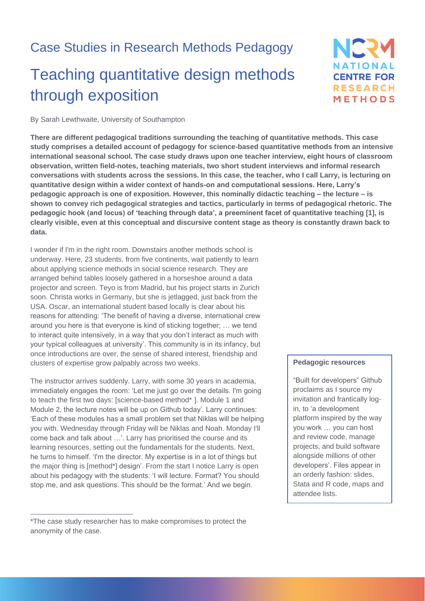## Case Studies in Research Methods Pedagogy

# Teaching quantitative design methods through exposition

## NERY **NATIONAL CENTRE FOR RESEARCH** METHODS

By Sarah Lewthwaite, University of Southampton

**There are different pedagogical traditions surrounding the teaching of quantitative methods. This case study comprises a detailed account of pedagogy for science-based quantitative methods from an intensive international seasonal school. The case study draws upon one teacher interview, eight hours of classroom observation, written field-notes, teaching materials, two short student interviews and informal research conversations with students across the sessions. In this case, the teacher, who I call Larry, is lecturing on quantitative design within a wider context of hands-on and computational sessions. Here, Larry's pedagogic approach is one of exposition. However, this nominally didactic teaching – the lecture – is shown to convey rich pedagogical strategies and tactics, particularly in terms of pedagogical rhetoric. The pedagogic hook (and locus) of 'teaching through data', a preeminent facet of quantitative teaching [1], is clearly visible, even at this conceptual and discursive content stage as theory is constantly drawn back to data.**

I wonder if I'm in the right room. Downstairs another methods school is underway. Here, 23 students, from five continents, wait patiently to learn about applying science methods in social science research. They are arranged behind tables loosely gathered in a horseshoe around a data projector and screen. Teyo is from Madrid, but his project starts in Zurich soon. Christa works in Germany, but she is jetlagged, just back from the USA. Oscar, an international student based locally is clear about his reasons for attending: 'The benefit of having a diverse, international crew around you here is that everyone is kind of sticking together; … we tend to interact quite intensively, in a way that you don't interact as much with your typical colleagues at university'. This community is in its infancy, but once introductions are over, the sense of shared interest, friendship and clusters of expertise grow palpably across two weeks.

The instructor arrives suddenly. Larry, with some 30 years in academia, immediately engages the room: 'Let me just go over the details. I'm going to teach the first two days: [science-based method\* 1 ]. Module 1 and Module 2, the lecture notes will be up on Github today'. Larry continues: 'Each of these modules has a small problem set that Niklas will be helping you with. Wednesday through Friday will be Niklas and Noah. Monday I'll come back and talk about …'. Larry has prioritised the course and its learning resources, setting out the fundamentals for the students. Next, he turns to himself. 'I'm the director. My expertise is in a lot of things but the major thing is [method\*] design'. From the start I notice Larry is open about his pedagogy with the students: 'I will lecture. Format? You should stop me, and ask questions. This should be the format.' And we begin.

#### **Pedagogic resources**

"Built for developers" Github proclaims as I source my invitation and frantically login, to 'a development platform inspired by the way you work … you can host and review code, manage projects, and build software alongside millions of other developers'. Files appear in an orderly fashion: slides, Stata and R code, maps and attendee lists.

<sup>\*</sup>The case study researcher has to make compromises to protect the anonymity of the case.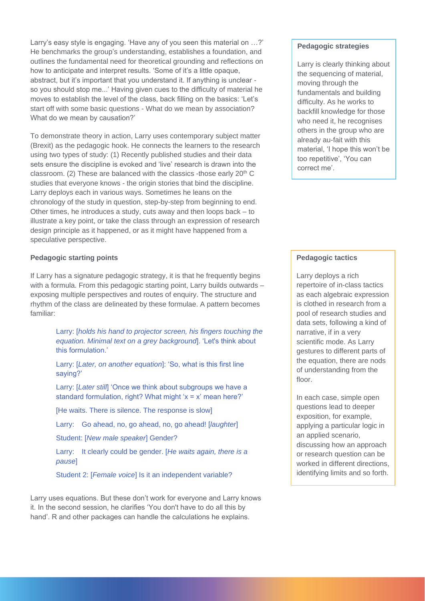Larry's easy style is engaging. 'Have any of you seen this material on …?' He benchmarks the group's understanding, establishes a foundation, and outlines the fundamental need for theoretical grounding and reflections on how to anticipate and interpret results. 'Some of it's a little opaque, abstract, but it's important that you understand it. If anything is unclear so you should stop me...' Having given cues to the difficulty of material he moves to establish the level of the class, back filling on the basics: 'Let's start off with some basic questions - What do we mean by association? What do we mean by causation?'

To demonstrate theory in action, Larry uses contemporary subject matter (Brexit) as the pedagogic hook. He connects the learners to the research using two types of study: (1) Recently published studies and their data sets ensure the discipline is evoked and 'live' research is drawn into the classroom. (2) These are balanced with the classics -those early  $20<sup>th</sup>$  C studies that everyone knows - the origin stories that bind the discipline. Larry deploys each in various ways. Sometimes he leans on the chronology of the study in question, step-by-step from beginning to end. Other times, he introduces a study, cuts away and then loops back – to illustrate a key point, or take the class through an expression of research design principle as it happened, or as it might have happened from a speculative perspective.

#### **Pedagogic starting points**

If Larry has a signature pedagogic strategy, it is that he frequently begins with a formula. From this pedagogic starting point, Larry builds outwards exposing multiple perspectives and routes of enquiry. The structure and rhythm of the class are delineated by these formulae. A pattern becomes familiar:

> Larry: [*holds his hand to projector screen, his fingers touching the equation. Minimal text on a grey background*]. 'Let's think about this formulation.'

Larry: [*Later, on another equation*]: 'So, what is this first line saying?'

Larry: [*Later still*] 'Once we think about subgroups we have a standard formulation, right? What might 'x = x' mean here?'

[He waits. There is silence. The response is slow]

Larry: Go ahead, no, go ahead, no, go ahead! [*laughter*]

Student: [*New male speaker*] Gender?

Larry: It clearly could be gender. [*He waits again, there is a pause*]

Student 2: [*Female voice*] Is it an independent variable?

Larry uses equations. But these don't work for everyone and Larry knows it. In the second session, he clarifies 'You don't have to do all this by hand'. R and other packages can handle the calculations he explains.

#### **Pedagogic strategies**

Larry is clearly thinking about the sequencing of material, moving through the fundamentals and building difficulty. As he works to backfill knowledge for those who need it, he recognises others in the group who are already au-fait with this material, 'I hope this won't be too repetitive', 'You can correct me'.

#### **Pedagogic tactics**

Larry deploys a rich repertoire of in-class tactics as each algebraic expression is clothed in research from a pool of research studies and data sets, following a kind of narrative, if in a very scientific mode. As Larry gestures to different parts of the equation, there are nods of understanding from the floor.

In each case, simple open questions lead to deeper exposition, for example, applying a particular logic in an applied scenario, discussing how an approach or research question can be worked in different directions, identifying limits and so forth.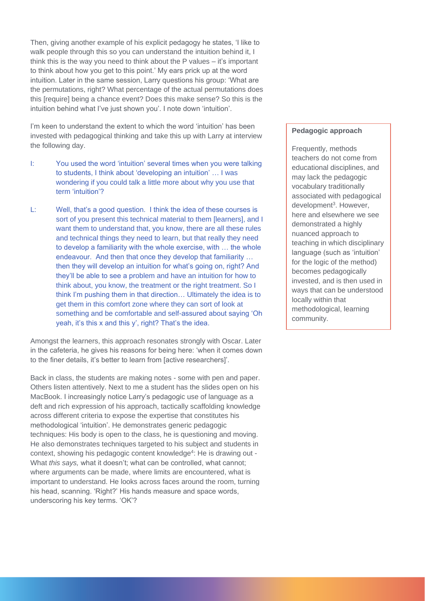Then, giving another example of his explicit pedagogy he states, 'I like to walk people through this so you can understand the intuition behind it. I think this is the way you need to think about the P values – it's important to think about how you get to this point.' My ears prick up at the word intuition. Later in the same session, Larry questions his group: 'What are the permutations, right? What percentage of the actual permutations does this [require] being a chance event? Does this make sense? So this is the intuition behind what I've just shown you'. I note down 'intuition'.

I'm keen to understand the extent to which the word 'intuition' has been invested with pedagogical thinking and take this up with Larry at interview the following day.

- I: You used the word 'intuition' several times when you were talking to students, I think about 'developing an intuition' … I was wondering if you could talk a little more about why you use that term 'intuition'?
- L: Well, that's a good question. I think the idea of these courses is sort of you present this technical material to them [learners], and I want them to understand that, you know, there are all these rules and technical things they need to learn, but that really they need to develop a familiarity with the whole exercise, with … the whole endeavour. And then that once they develop that familiarity … then they will develop an intuition for what's going on, right? And they'll be able to see a problem and have an intuition for how to think about, you know, the treatment or the right treatment. So I think I'm pushing them in that direction… Ultimately the idea is to get them in this comfort zone where they can sort of look at something and be comfortable and self-assured about saying 'Oh yeah, it's this x and this y', right? That's the idea.

Amongst the learners, this approach resonates strongly with Oscar. Later in the cafeteria, he gives his reasons for being here: 'when it comes down to the finer details, it's better to learn from [active researchers]'.

Back in class, the students are making notes - some with pen and paper. Others listen attentively. Next to me a student has the slides open on his MacBook. I increasingly notice Larry's pedagogic use of language as a deft and rich expression of his approach, tactically scaffolding knowledge across different criteria to expose the expertise that constitutes his methodological 'intuition'. He demonstrates generic pedagogic techniques: His body is open to the class, he is questioning and moving. He also demonstrates techniques targeted to his subject and students in context, showing his pedagogic content knowledge<sup>4</sup>: He is drawing out -What *this says,* what it doesn't; what can be controlled, what cannot; where arguments can be made, where limits are encountered, what is important to understand. He looks across faces around the room, turning his head, scanning. 'Right?' His hands measure and space words, underscoring his key terms. 'OK'?

#### **Pedagogic approach**

Frequently, methods teachers do not come from educational disciplines, and may lack the pedagogic vocabulary traditionally associated with pedagogical development<sup>3</sup>. However, here and elsewhere we see demonstrated a highly nuanced approach to teaching in which disciplinary language (such as 'intuition' for the logic of the method) becomes pedagogically invested, and is then used in ways that can be understood locally within that methodological, learning community.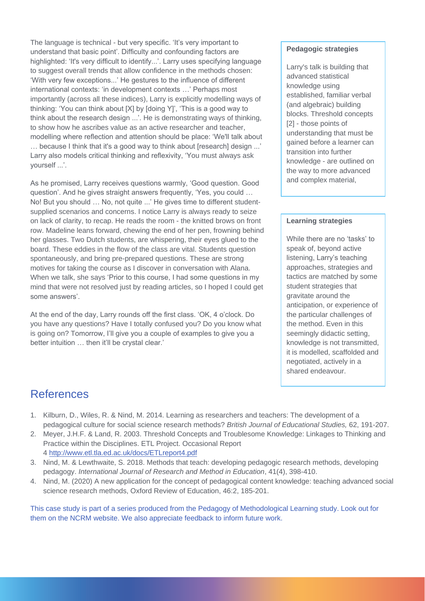The language is technical - but very specific. 'It's very important to understand that basic point'. Difficulty and confounding factors are highlighted: 'It's very difficult to identify...'. Larry uses specifying language to suggest overall trends that allow confidence in the methods chosen: 'With very few exceptions...' He gestures to the influence of different international contexts: 'in development contexts …' Perhaps most importantly (across all these indices), Larry is explicitly modelling ways of thinking: 'You can think about [X] by [doing Y]', 'This is a good way to think about the research design ...'. He is demonstrating ways of thinking, to show how he ascribes value as an active researcher and teacher, modelling where reflection and attention should be place: 'We'll talk about … because I think that it's a good way to think about [research] design ...' Larry also models critical thinking and reflexivity, 'You must always ask yourself ...'.

As he promised, Larry receives questions warmly, 'Good question. Good question'. And he gives straight answers frequently, 'Yes, you could … No! But you should … No, not quite ...' He gives time to different studentsupplied scenarios and concerns. I notice Larry is always ready to seize on lack of clarity, to recap. He reads the room - the knitted brows on front row. Madeline leans forward, chewing the end of her pen, frowning behind her glasses. Two Dutch students, are whispering, their eyes glued to the board. These eddies in the flow of the class are vital. Students question spontaneously, and bring pre-prepared questions. These are strong motives for taking the course as I discover in conversation with Alana. When we talk, she says 'Prior to this course, I had some questions in my mind that were not resolved just by reading articles, so I hoped I could get some answers'.

At the end of the day, Larry rounds off the first class. 'OK, 4 o'clock. Do you have any questions? Have I totally confused you? Do you know what is going on? Tomorrow, I'll give you a couple of examples to give you a better intuition … then it'll be crystal clear.'

#### **Pedagogic strategies**

Larry's talk is building that advanced statistical knowledge using established, familiar verbal (and algebraic) building blocks. Threshold concepts [2] - those points of understanding that must be gained before a learner can transition into further knowledge - are outlined on the way to more advanced and complex material,

#### **Learning strategies**

While there are no 'tasks' to speak of, beyond active listening, Larry's teaching approaches, strategies and tactics are matched by some student strategies that gravitate around the anticipation, or experience of the particular challenges of the method. Even in this seemingly didactic setting, knowledge is not transmitted, it is modelled, scaffolded and negotiated, actively in a shared endeavour.

### References

- 1. Kilburn, D., Wiles, R. & Nind, M. 2014. Learning as researchers and teachers: The development of a pedagogical culture for social science research methods? *British Journal of Educational Studies,* 62, 191-207.
- 2. Meyer, J.H.F. & Land, R. 2003. Threshold Concepts and Troublesome Knowledge: Linkages to Thinking and Practice within the Disciplines. ETL Project. Occasional Report 4 <http://www.etl.tla.ed.ac.uk/docs/ETLreport4.pdf>
- 3. Nind, M. & Lewthwaite, S. 2018. Methods that teach: developing pedagogic research methods, developing pedagogy. *International Journal of Research and Method in Education*, 41(4), 398-410.
- 4. Nind, M. (2020) A new application for the concept of pedagogical content knowledge: teaching advanced social science research methods, Oxford Review of Education, 46:2, 185-201.

This case study is part of a series produced from the Pedagogy of Methodological Learning study. Look out for them on the NCRM website. We also appreciate feedback to inform future work.